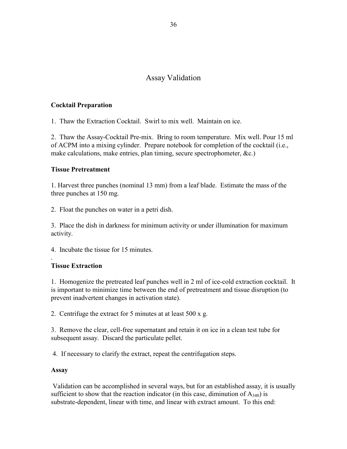# Assay Validation

### **Cocktail Preparation**

1. Thaw the Extraction Cocktail. Swirl to mix well. Maintain on ice.

2. Thaw the Assay-Cocktail Pre-mix. Bring to room temperature. Mix well. Pour 15 ml of ACPM into a mixing cylinder. Prepare notebook for completion of the cocktail (i.e., make calculations, make entries, plan timing, secure spectrophometer, &c.)

#### **Tissue Pretreatment**

1. Harvest three punches (nominal 13 mm) from a leaf blade. Estimate the mass of the three punches at 150 mg.

2. Float the punches on water in a petri dish.

3. Place the dish in darkness for minimum activity or under illumination for maximum activity.

4. Incubate the tissue for 15 minutes.

## **Tissue Extraction**

.

1. Homogenize the pretreated leaf punches well in 2 ml of ice-cold extraction cocktail. It is important to minimize time between the end of pretreatment and tissue disruption (to prevent inadvertent changes in activation state).

2. Centrifuge the extract for 5 minutes at at least 500 x g.

3. Remove the clear, cell-free supernatant and retain it on ice in a clean test tube for subsequent assay. Discard the particulate pellet.

4. If necessary to clarify the extract, repeat the centrifugation steps.

## **Assay**

 Validation can be accomplished in several ways, but for an established assay, it is usually sufficient to show that the reaction indicator (in this case, diminution of  $A_{340}$ ) is substrate-dependent, linear with time, and linear with extract amount. To this end: